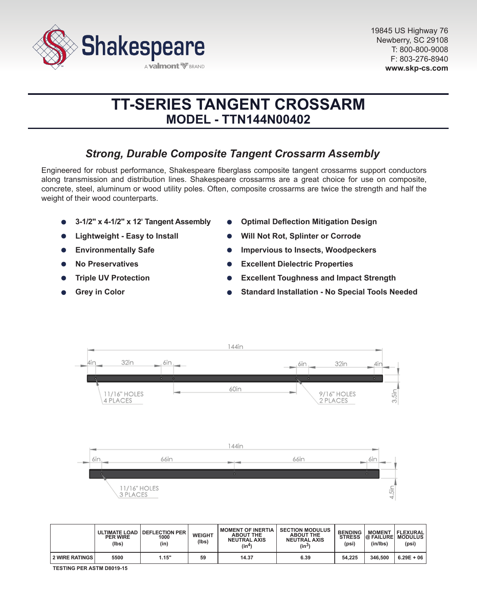

# **TT-SERIES TANGENT CROSSARM MODEL - TTN144N00402**

## *Strong, Durable Composite Tangent Crossarm Assembly*

Engineered for robust performance, Shakespeare fiberglass composite tangent crossarms support conductors along transmission and distribution lines. Shakespeare crossarms are a great choice for use on composite, concrete, steel, aluminum or wood utility poles. Often, composite crossarms are twice the strength and half the weight of their wood counterparts.

- **3-1/2" x 4-1/2" x 12' Tangent Assembly**
- **Lightweight Easy to Install**
- **Environmentally Safe**  $\bullet$
- **No Preservatives**
- **Triple UV Protection**
- **Grey in Color**
- **Optimal Deflection Mitigation Design**
- **Will Not Rot, Splinter or Corrode**
- **Impervious to Insects, Woodpeckers**
- **Excellent Dielectric Properties**  $\bullet$
- **Excellent Toughness and Impact Strength**
- **Standard Installation No Special Tools Needed**



|                       | <b>PER WIRE</b><br>(lbs) | ULTIMATE LOAD   DEFLECTION PER<br>1000<br>(in) | <b>WEIGHT</b><br>(lbs) | <b>MOMENT OF INERTIA</b><br><b>ABOUT THE</b><br><b>NEUTRAL AXIS</b><br>(in4) | <b>SECTION MODULUS</b><br><b>ABOUT THE</b><br><b>NEUTRAL AXIS</b><br>$(in^3)$ | <b>BENDING</b><br><b>STRESS</b><br>(psi) | <b>MOMENT</b><br><b>@ FAILURE MODULUS</b><br>(in/lbs) | FLEXURAL <br>(psi) |
|-----------------------|--------------------------|------------------------------------------------|------------------------|------------------------------------------------------------------------------|-------------------------------------------------------------------------------|------------------------------------------|-------------------------------------------------------|--------------------|
| <b>2 WIRE RATINGS</b> | 5500                     | 1.15"                                          | 59                     | 14.37                                                                        | 6.39                                                                          | 54.225                                   | 346,500                                               | $6.29E + 06$       |

**TESTING PER ASTM D8019-15**